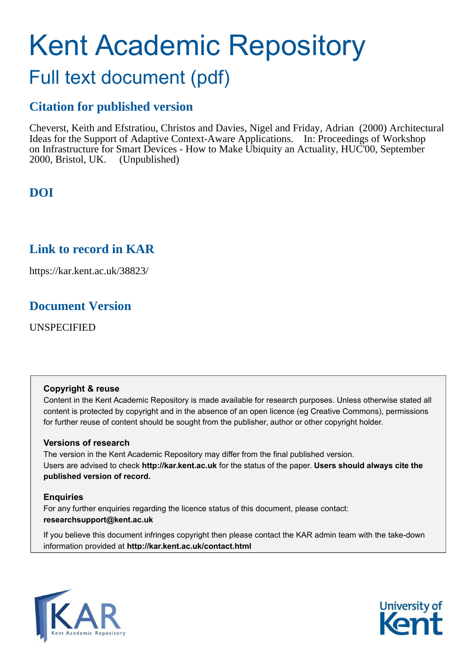# Kent Academic Repository Full text document (pdf)

## **Citation for published version**

Cheverst, Keith and Efstratiou, Christos and Davies, Nigel and Friday, Adrian (2000) Architectural Ideas for the Support of Adaptive Context-Aware Applications. In: Proceedings of Workshop on Infrastructure for Smart Devices - How to Make Ubiquity an Actuality, HUC'00, September 2000, Bristol, UK. (Unpublished)

## **DOI**

### **Link to record in KAR**

https://kar.kent.ac.uk/38823/

## **Document Version**

UNSPECIFIED

#### **Copyright & reuse**

Content in the Kent Academic Repository is made available for research purposes. Unless otherwise stated all content is protected by copyright and in the absence of an open licence (eg Creative Commons), permissions for further reuse of content should be sought from the publisher, author or other copyright holder.

#### **Versions of research**

The version in the Kent Academic Repository may differ from the final published version. Users are advised to check **http://kar.kent.ac.uk** for the status of the paper. **Users should always cite the published version of record.**

#### **Enquiries**

For any further enquiries regarding the licence status of this document, please contact: **researchsupport@kent.ac.uk**

If you believe this document infringes copyright then please contact the KAR admin team with the take-down information provided at **http://kar.kent.ac.uk/contact.html**



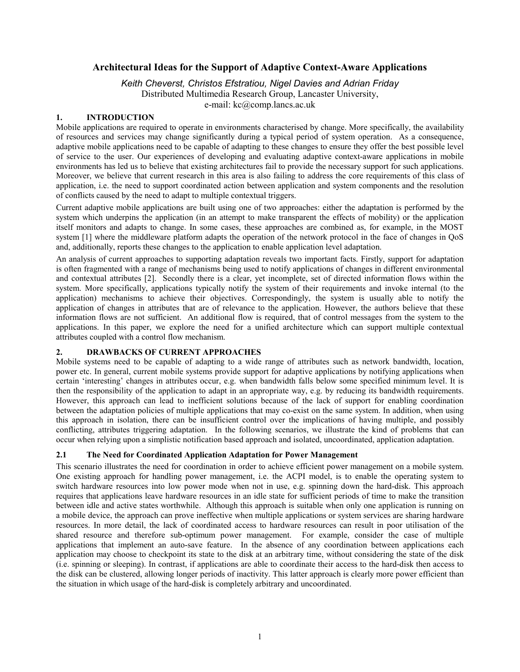#### **Architectural Ideas for the Support of Adaptive Context-Aware Applications**

*Keith Cheverst, Christos Efstratiou, Nigel Davies and Adrian Friday*

Distributed Multimedia Research Group, Lancaster University, e-mail: kc@comp.lancs.ac.uk

#### **1. INTRODUCTION**

Mobile applications are required to operate in environments characterised by change. More specifically, the availability of resources and services may change significantly during a typical period of system operation. As a consequence, adaptive mobile applications need to be capable of adapting to these changes to ensure they offer the best possible level of service to the user. Our experiences of developing and evaluating adaptive context-aware applications in mobile environments has led us to believe that existing architectures fail to provide the necessary support for such applications. Moreover, we believe that current research in this area is also failing to address the core requirements of this class of application, i.e. the need to support coordinated action between application and system components and the resolution of conflicts caused by the need to adapt to multiple contextual triggers.

Current adaptive mobile applications are built using one of two approaches: either the adaptation is performed by the system which underpins the application (in an attempt to make transparent the effects of mobility) or the application itself monitors and adapts to change. In some cases, these approaches are combined as, for example, in the MOST system [1] where the middleware platform adapts the operation of the network protocol in the face of changes in QoS and, additionally, reports these changes to the application to enable application level adaptation.

An analysis of current approaches to supporting adaptation reveals two important facts. Firstly, support for adaptation is often fragmented with a range of mechanisms being used to notify applications of changes in different environmental and contextual attributes [2]. Secondly there is a clear, yet incomplete, set of directed information flows within the system. More specifically, applications typically notify the system of their requirements and invoke internal (to the application) mechanisms to achieve their objectives. Correspondingly, the system is usually able to notify the application of changes in attributes that are of relevance to the application. However, the authors believe that these information flows are not sufficient. An additional flow is required, that of control messages from the system to the applications. In this paper, we explore the need for a unified architecture which can support multiple contextual attributes coupled with a control flow mechanism.

#### **2. DRAWBACKS OF CURRENT APPROACHES**

Mobile systems need to be capable of adapting to a wide range of attributes such as network bandwidth, location, power etc. In general, current mobile systems provide support for adaptive applications by notifying applications when certain 'interesting' changes in attributes occur, e.g. when bandwidth falls below some specified minimum level. It is then the responsibility of the application to adapt in an appropriate way, e.g. by reducing its bandwidth requirements. However, this approach can lead to inefficient solutions because of the lack of support for enabling coordination between the adaptation policies of multiple applications that may co-exist on the same system. In addition, when using this approach in isolation, there can be insufficient control over the implications of having multiple, and possibly conflicting, attributes triggering adaptation. In the following scenarios, we illustrate the kind of problems that can occur when relying upon a simplistic notification based approach and isolated, uncoordinated, application adaptation.

#### **2.1 The Need for Coordinated Application Adaptation for Power Management**

This scenario illustrates the need for coordination in order to achieve efficient power management on a mobile system. One existing approach for handling power management, i.e. the ACPI model, is to enable the operating system to switch hardware resources into low power mode when not in use, e.g. spinning down the hard-disk. This approach requires that applications leave hardware resources in an idle state for sufficient periods of time to make the transition between idle and active states worthwhile. Although this approach is suitable when only one application is running on a mobile device, the approach can prove ineffective when multiple applications or system services are sharing hardware resources. In more detail, the lack of coordinated access to hardware resources can result in poor utilisation of the shared resource and therefore sub-optimum power management. For example, consider the case of multiple applications that implement an auto-save feature. In the absence of any coordination between applications each application may choose to checkpoint its state to the disk at an arbitrary time, without considering the state of the disk (i.e. spinning or sleeping). In contrast, if applications are able to coordinate their access to the hard-disk then access to the disk can be clustered, allowing longer periods of inactivity. This latter approach is clearly more power efficient than the situation in which usage of the hard-disk is completely arbitrary and uncoordinated.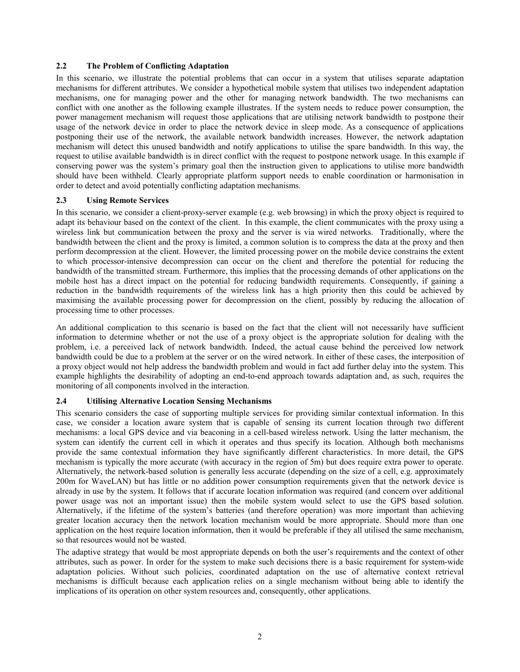#### **2.2 The Problem of Conflicting Adaptation**

In this scenario, we illustrate the potential problems that can occur in a system that utilises separate adaptation mechanisms for different attributes. We consider a hypothetical mobile system that utilises two independent adaptation mechanisms, one for managing power and the other for managing network bandwidth. The two mechanisms can conflict with one another as the following example illustrates. If the system needs to reduce power consumption, the power management mechanism will request those applications that are utilising network bandwidth to postpone their usage of the network device in order to place the network device in sleep mode. As a consequence of applications postponing their use of the network, the available network bandwidth increases. However, the network adaptation mechanism will detect this unused bandwidth and notify applications to utilise the spare bandwidth. In this way, the request to utilise available bandwidth is in direct conflict with the request to postpone network usage. In this example if conserving power was the system's primary goal then the instruction given to applications to utilise more bandwidth should have been withheld. Clearly appropriate platform support needs to enable coordination or harmonisation in order to detect and avoid potentially conflicting adaptation mechanisms.

#### **2.3 Using Remote Services**

In this scenario, we consider a client-proxy-server example (e.g. web browsing) in which the proxy object is required to adapt its behaviour based on the context of the client. In this example, the client communicates with the proxy using a wireless link but communication between the proxy and the server is via wired networks. Traditionally, where the bandwidth between the client and the proxy is limited, a common solution is to compress the data at the proxy and then perform decompression at the client. However, the limited processing power on the mobile device constrains the extent to which processor-intensive decompression can occur on the client and therefore the potential for reducing the bandwidth of the transmitted stream. Furthermore, this implies that the processing demands of other applications on the mobile host has a direct impact on the potential for reducing bandwidth requirements. Consequently, if gaining a reduction in the bandwidth requirements of the wireless link has a high priority then this could be achieved by maximising the available processing power for decompression on the client, possibly by reducing the allocation of processing time to other processes.

An additional complication to this scenario is based on the fact that the client will not necessarily have sufficient information to determine whether or not the use of a proxy object is the appropriate solution for dealing with the problem, i.e. a perceived lack of network bandwidth. Indeed, the actual cause behind the perceived low network bandwidth could be due to a problem at the server or on the wired network. In either of these cases, the interposition of a proxy object would not help address the bandwidth problem and would in fact add further delay into the system. This example highlights the desirability of adopting an end-to-end approach towards adaptation and, as such, requires the monitoring of all components involved in the interaction.

#### **2.4 Utilising Alternative Location Sensing Mechanisms**

This scenario considers the case of supporting multiple services for providing similar contextual information. In this case, we consider a location aware system that is capable of sensing its current location through two different mechanisms: a local GPS device and via beaconing in a cell-based wireless network. Using the latter mechanism, the system can identify the current cell in which it operates and thus specify its location. Although both mechanisms provide the same contextual information they have significantly different characteristics. In more detail, the GPS mechanism is typically the more accurate (with accuracy in the region of 5m) but does require extra power to operate. Alternatively, the network-based solution is generally less accurate (depending on the size of a cell, e.g. approximately 200m for WaveLAN) but has little or no addition power consumption requirements given that the network device is already in use by the system. It follows that if accurate location information was required (and concern over additional power usage was not an important issue) then the mobile system would select to use the GPS based solution. Alternatively, if the lifetime of the systemís batteries (and therefore operation) was more important than achieving greater location accuracy then the network location mechanism would be more appropriate. Should more than one application on the host require location information, then it would be preferable if they all utilised the same mechanism, so that resources would not be wasted.

The adaptive strategy that would be most appropriate depends on both the user's requirements and the context of other attributes, such as power. In order for the system to make such decisions there is a basic requirement for system-wide adaptation policies. Without such policies, coordinated adaptation on the use of alternative context retrieval mechanisms is difficult because each application relies on a single mechanism without being able to identify the implications of its operation on other system resources and, consequently, other applications.